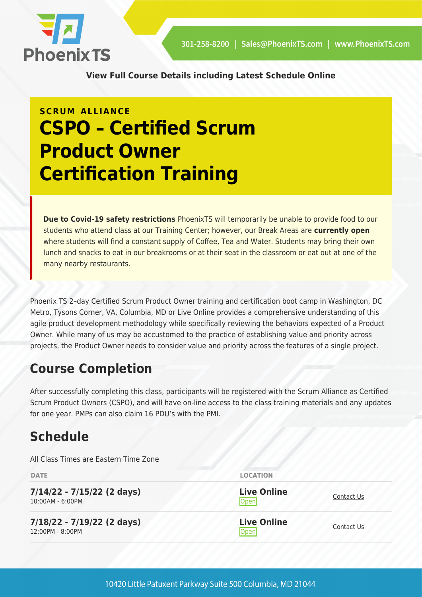

**[View Full Course Details including Latest Schedule Online](https://phoenixts.com/training-courses/cspo-certified-scrum-product-owner-certification-training/)**

## **SCRUM ALLIANCE CSPO – Certified Scrum Product Owner Certification Training**

**Due to Covid-19 safety restrictions** PhoenixTS will temporarily be unable to provide food to our students who attend class at our Training Center; however, our Break Areas are **currently open** where students will find a constant supply of Coffee, Tea and Water. Students may bring their own lunch and snacks to eat in our breakrooms or at their seat in the classroom or eat out at one of the many nearby restaurants.

Phoenix TS 2–day Certified Scrum Product Owner training and certification boot camp in Washington, DC Metro, Tysons Corner, VA, Columbia, MD or Live Online provides a comprehensive understanding of this agile product development methodology while specifically reviewing the behaviors expected of a Product Owner. While many of us may be accustomed to the practice of establishing value and priority across projects, the Product Owner needs to consider value and priority across the features of a single project.

#### **Course Completion**

After successfully completing this class, participants will be registered with the Scrum Alliance as Certified Scrum Product Owners (CSPO), and will have on-line access to the class training materials and any updates for one year. PMPs can also claim 16 PDU's with the PMI.

## **Schedule**

All Class Times are Eastern Time Zone

| <b>DATE</b>                                      | <b>LOCATION</b>            |                   |
|--------------------------------------------------|----------------------------|-------------------|
| $7/14/22 - 7/15/22$ (2 days)<br>10:00AM - 6:00PM | <b>Live Online</b><br>Open | <b>Contact Us</b> |
| $7/18/22 - 7/19/22$ (2 days)<br>12:00PM - 8:00PM | <b>Live Online</b><br>Open | Contact Us        |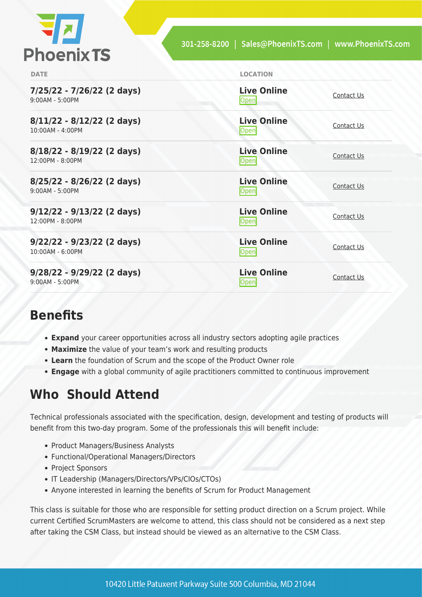| <b>Phoenix TS</b> |  |  |
|-------------------|--|--|

| <b>DATE</b>                                        | <b>LOCATION</b>            |            |
|----------------------------------------------------|----------------------------|------------|
| 7/25/22 - 7/26/22 (2 days)<br>$9:00AM - 5:00PM$    | <b>Live Online</b><br>Open | Contact Us |
| $8/11/22 - 8/12/22$ (2 days)<br>10:00AM - 4:00PM   | <b>Live Online</b><br>Open | Contact Us |
| $8/18/22 - 8/19/22$ (2 days)<br>$12:00PM - 8:00PM$ | <b>Live Online</b><br>Open | Contact Us |
| $8/25/22 - 8/26/22$ (2 days)<br>$9:00AM - 5:00PM$  | <b>Live Online</b><br>Open | Contact Us |
| $9/12/22 - 9/13/22$ (2 days)<br>12:00PM - 8:00PM   | <b>Live Online</b><br>Open | Contact Us |
| $9/22/22 - 9/23/22$ (2 days)<br>10:00AM - 6:00PM   | <b>Live Online</b><br>Open | Contact Us |
| $9/28/22 - 9/29/22$ (2 days)<br>$9:00AM - 5:00PM$  | <b>Live Online</b><br>Open | Contact Us |

#### **Benefits**

- **Expand** your career opportunities across all industry sectors adopting agile practices
- **Maximize** the value of your team's work and resulting products
- **Learn** the foundation of Scrum and the scope of the Product Owner role
- **Engage** with a global community of agile practitioners committed to continuous improvement

#### **Who Should Attend**

Technical professionals associated with the specification, design, development and testing of products will benefit from this two-day program. Some of the professionals this will benefit include:

- Product Managers/Business Analysts
- Functional/Operational Managers/Directors
- Project Sponsors
- IT Leadership (Managers/Directors/VPs/CIOs/CTOs)
- Anyone interested in learning the benefits of Scrum for Product Management

This class is suitable for those who are responsible for setting product direction on a Scrum project. While current Certified ScrumMasters are welcome to attend, this class should not be considered as a next step after taking the CSM Class, but instead should be viewed as an alternative to the CSM Class.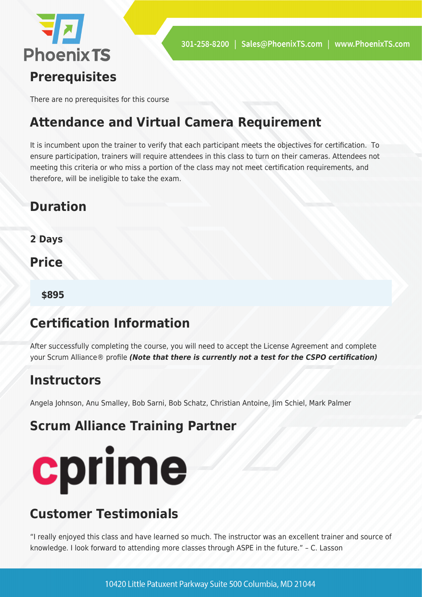

There are no prerequisites for this course

## **Attendance and Virtual Camera Requirement**

It is incumbent upon the trainer to verify that each participant meets the objectives for certification. To ensure participation, trainers will require attendees in this class to turn on their cameras. Attendees not meeting this criteria or who miss a portion of the class may not meet certification requirements, and therefore, will be ineligible to take the exam.

## **Duration**

**2 Days**

**Price** 

**\$895**

## **Certification Information**

After successfully completing the course, you will need to accept the License Agreement and complete your Scrum Alliance® profile *(Note that there is currently not a test for the CSPO certification)*

#### **Instructors**

Angela Johnson, Anu Smalley, Bob Sarni, Bob Schatz, Christian Antoine, Jim Schiel, Mark Palmer

#### **Scrum Alliance Training Partner**



## **Customer Testimonials**

"I really enjoyed this class and have learned so much. The instructor was an excellent trainer and source of knowledge. I look forward to attending more classes through ASPE in the future." – C. Lasson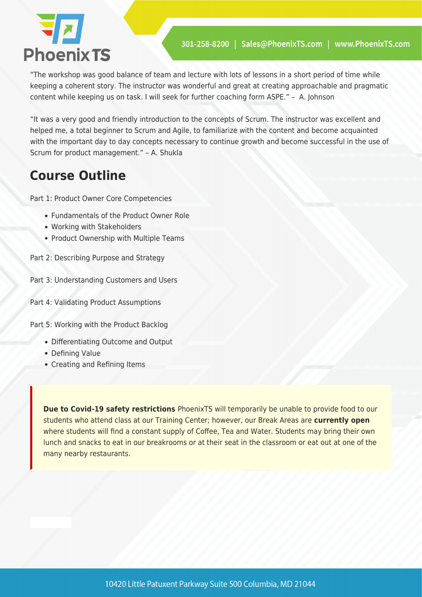

"The workshop was good balance of team and lecture with lots of lessons in a short period of time while keeping a coherent story. The instructor was wonderful and great at creating approachable and pragmatic content while keeping us on task. I will seek for further coaching form ASPE." – A. Johnson

"It was a very good and friendly introduction to the concepts of Scrum. The instructor was excellent and helped me, a total beginner to Scrum and Agile, to familiarize with the content and become acquainted with the important day to day concepts necessary to continue growth and become successful in the use of Scrum for product management." – A. Shukla

## **Course Outline**

Part 1: Product Owner Core Competencies

- Fundamentals of the Product Owner Role
- Working with Stakeholders
- Product Ownership with Multiple Teams
- Part 2: Describing Purpose and Strategy

Part 3: Understanding Customers and Users

Part 4: Validating Product Assumptions

Part 5: Working with the Product Backlog

- Differentiating Outcome and Output
- Defining Value
- Creating and Refining Items

**Due to Covid-19 safety restrictions** PhoenixTS will temporarily be unable to provide food to our students who attend class at our Training Center; however, our Break Areas are **currently open** where students will find a constant supply of Coffee, Tea and Water. Students may bring their own lunch and snacks to eat in our breakrooms or at their seat in the classroom or eat out at one of the many nearby restaurants.